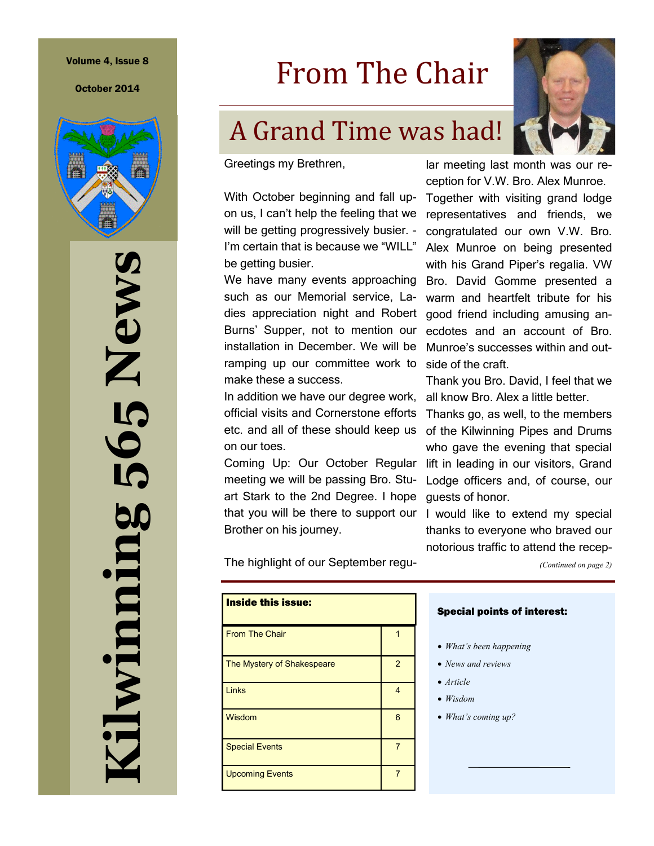October 2014



**Kilwinning 565 News** 5 News 56; ilwinning

## From The Chair

### A Grand Time was had!



ception for V.W. Bro. Alex Munroe. Together with visiting grand lodge representatives and friends, we congratulated our own V.W. Bro. Alex Munroe on being presented with his Grand Piper's regalia. VW Bro. David Gomme presented a warm and heartfelt tribute for his good friend including amusing anecdotes and an account of Bro. Munroe's successes within and out-

Thank you Bro. David, I feel that we all know Bro. Alex a little better. Thanks go, as well, to the members of the Kilwinning Pipes and Drums who gave the evening that special

Lodge officers and, of course, our

I would like to extend my special thanks to everyone who braved our notorious traffic to attend the recep-

*(Continued on page 2)*

Greetings my Brethren,

With October beginning and fall upon us, I can't help the feeling that we will be getting progressively busier. - I'm certain that is because we "WILL" be getting busier.

We have many events approaching such as our Memorial service, Ladies appreciation night and Robert Burns' Supper, not to mention our installation in December. We will be ramping up our committee work to make these a success.

In addition we have our degree work, official visits and Cornerstone efforts etc. and all of these should keep us on our toes.

Coming Up: Our October Regular lift in leading in our visitors, Grand meeting we will be passing Bro. Stuart Stark to the 2nd Degree. I hope that you will be there to support our Brother on his journey.

The highlight of our September regu-

| <b>Inside this issue:</b>  |                |
|----------------------------|----------------|
| <b>From The Chair</b>      |                |
| The Mystery of Shakespeare | $\mathfrak{p}$ |
| Links                      | 4              |
| Wisdom                     | 6              |
| <b>Special Events</b>      | 7              |
| <b>Upcoming Events</b>     | 7              |

#### Special points of interest:

- *What's been happening*
- *News and reviews*

side of the craft.

guests of honor.

- *Article*
- *Wisdom*
- *What's coming up?*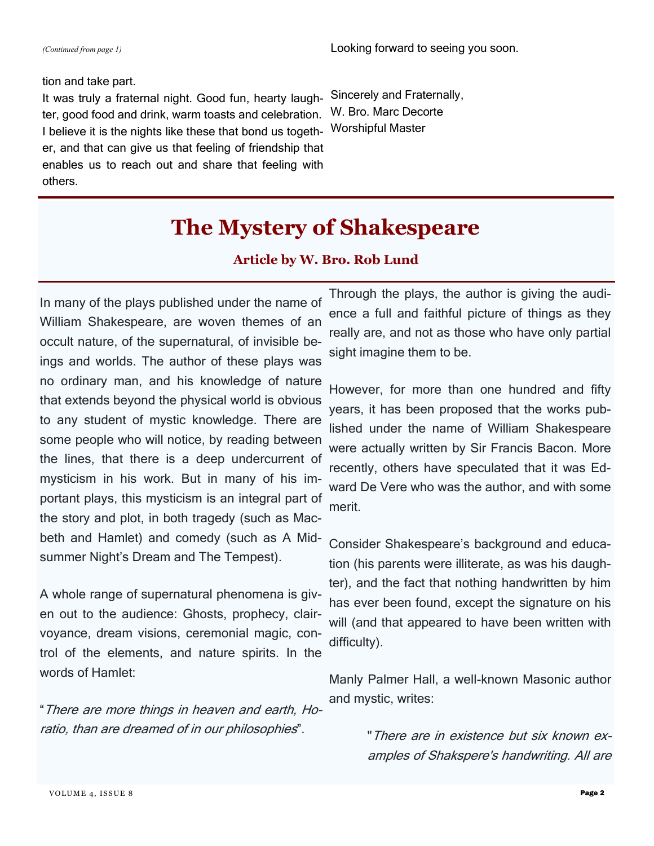#### tion and take part.

It was truly a fraternal night. Good fun, hearty laughter, good food and drink, warm toasts and celebration. I believe it is the nights like these that bond us together, and that can give us that feeling of friendship that enables us to reach out and share that feeling with others.

Sincerely and Fraternally, W. Bro. Marc Decorte Worshipful Master

### **The Mystery of Shakespeare**

#### **Article by W. Bro. Rob Lund**

In many of the plays published under the name of William Shakespeare, are woven themes of an occult nature, of the supernatural, of invisible beings and worlds. The author of these plays was no ordinary man, and his knowledge of nature that extends beyond the physical world is obvious to any student of mystic knowledge. There are some people who will notice, by reading between the lines, that there is a deep undercurrent of mysticism in his work. But in many of his important plays, this mysticism is an integral part of the story and plot, in both tragedy (such as Macbeth and Hamlet) and comedy (such as A Midsummer Night's Dream and The Tempest).

A whole range of supernatural phenomena is given out to the audience: Ghosts, prophecy, clairvoyance, dream visions, ceremonial magic, control of the elements, and nature spirits. In the words of Hamlet:

"There are more things in heaven and earth, Horatio, than are dreamed of in our philosophies".

Through the plays, the author is giving the audience a full and faithful picture of things as they really are, and not as those who have only partial sight imagine them to be.

However, for more than one hundred and fifty years, it has been proposed that the works published under the name of William Shakespeare were actually written by Sir Francis Bacon. More recently, others have speculated that it was Edward De Vere who was the author, and with some merit.

Consider Shakespeare's background and education (his parents were illiterate, as was his daughter), and the fact that nothing handwritten by him has ever been found, except the signature on his will (and that appeared to have been written with difficulty).

Manly Palmer Hall, a well-known Masonic author and mystic, writes:

> "There are in existence but six known examples of Shakspere's handwriting. All are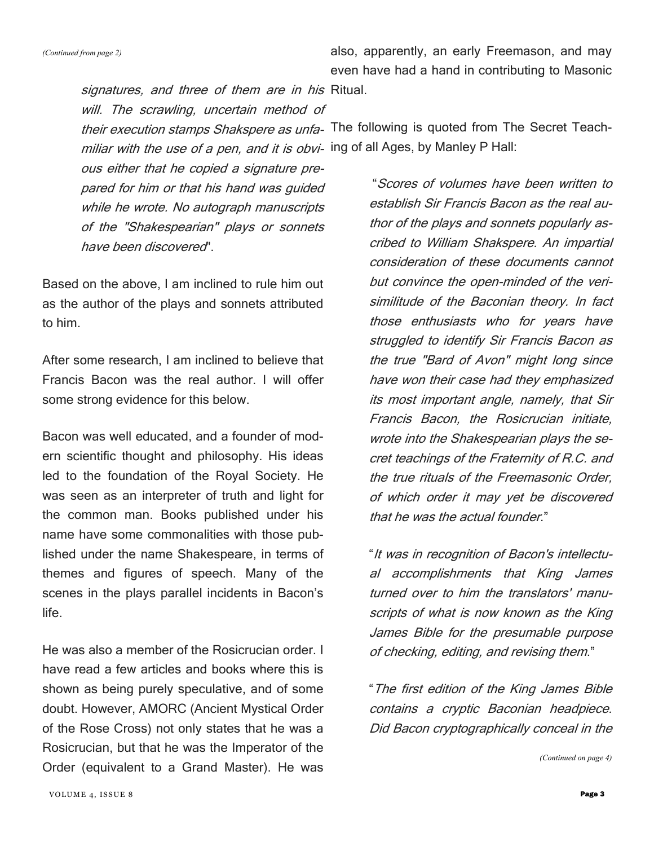also, apparently, an early Freemason, and may even have had a hand in contributing to Masonic

signatures, and three of them are in his Ritual. will. The scrawling, uncertain method of

their execution stamps Shakspere as unfa- The following is quoted from The Secret Teachmiliar with the use of a pen, and it is obvi- ing of all Ages, by Manley P Hall:

ous either that he copied a signature prepared for him or that his hand was guided while he wrote. No autograph manuscripts of the "Shakespearian" plays or sonnets have been discovered".

Based on the above, I am inclined to rule him out as the author of the plays and sonnets attributed to him.

After some research, I am inclined to believe that Francis Bacon was the real author. I will offer some strong evidence for this below.

Bacon was well educated, and a founder of modern scientific thought and philosophy. His ideas led to the foundation of the Royal Society. He was seen as an interpreter of truth and light for the common man. Books published under his name have some commonalities with those published under the name Shakespeare, in terms of themes and figures of speech. Many of the scenes in the plays parallel incidents in Bacon's life.

He was also a member of the Rosicrucian order. I have read a few articles and books where this is shown as being purely speculative, and of some doubt. However, AMORC (Ancient Mystical Order of the Rose Cross) not only states that he was a Rosicrucian, but that he was the Imperator of the Order (equivalent to a Grand Master). He was

"Scores of volumes have been written to establish Sir Francis Bacon as the real author of the plays and sonnets popularly ascribed to William Shakspere. An impartial consideration of these documents cannot but convince the open-minded of the verisimilitude of the Baconian theory. In fact those enthusiasts who for years have struggled to identify Sir Francis Bacon as the true "Bard of Avon" might long since have won their case had they emphasized its most important angle, namely, that Sir Francis Bacon, the Rosicrucian initiate, wrote into the Shakespearian plays the secret teachings of the Fraternity of R.C. and the true rituals of the Freemasonic Order, of which order it may yet be discovered that he was the actual founder."

"It was in recognition of Bacon's intellectual accomplishments that King James turned over to him the translators' manuscripts of what is now known as the King James Bible for the presumable purpose of checking, editing, and revising them."

"The first edition of the King James Bible contains a cryptic Baconian headpiece. Did Bacon cryptographically conceal in the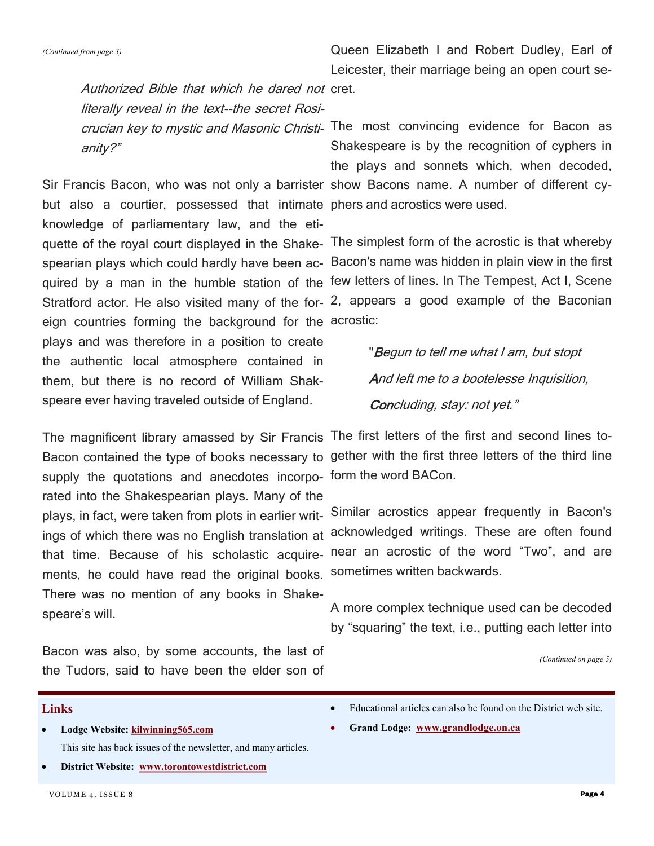*(Continued from page 3)*

Queen Elizabeth I and Robert Dudley, Earl of Leicester, their marriage being an open court se-

Authorized Bible that which he dared not cret. literally reveal in the text--the secret Rosianity?"

but also a courtier, possessed that intimate phers and acrostics were used. knowledge of parliamentary law, and the etieign countries forming the background for the acrostic: plays and was therefore in a position to create the authentic local atmosphere contained in them, but there is no record of William Shakspeare ever having traveled outside of England.

supply the quotations and anecdotes incorpo-form the word BACon. rated into the Shakespearian plays. Many of the ments, he could have read the original books. There was no mention of any books in Shakespeare's will.

Bacon was also, by some accounts, the last of the Tudors, said to have been the elder son of

crucian key to mystic and Masonic Christi- The most convincing evidence for Bacon as Sir Francis Bacon, who was not only a barrister show Bacons name. A number of different cy-Shakespeare is by the recognition of cyphers in the plays and sonnets which, when decoded,

quette of the royal court displayed in the Shake-The simplest form of the acrostic is that whereby spearian plays which could hardly have been ac-Bacon's name was hidden in plain view in the first quired by a man in the humble station of the few letters of lines. In The Tempest, Act I, Scene Stratford actor. He also visited many of the for-2, appears a good example of the Baconian

> "Begun to tell me what I am, but stopt And left me to a bootelesse Inquisition, Concluding, stay: not yet."

The magnificent library amassed by Sir Francis The first letters of the first and second lines to-Bacon contained the type of books necessary to gether with the first three letters of the third line

plays, in fact, were taken from plots in earlier writ-Similar acrostics appear frequently in Bacon's ings of which there was no English translation at acknowledged writings. These are often found that time. Because of his scholastic acquire- near an acrostic of the word "Two", and are sometimes written backwards.

> A more complex technique used can be decoded by "squaring" the text, i.e., putting each letter into

> > *(Continued on page 5)*

#### **Links**

- **Lodge Website: [kilwinning565.com](http://kilwinning565.com)** This site has back issues of the newsletter, and many articles.
- **District Website: [www.torontowestdistrict.com](http://www.torontowestdistrict.com/)**
- VOLUME 4, ISSUE 8 **Page 4**
- Educational articles can also be found on the District web site.
- **Grand Lodge: [www.grandlodge.on.ca](http://www.grandlodge.on.ca)**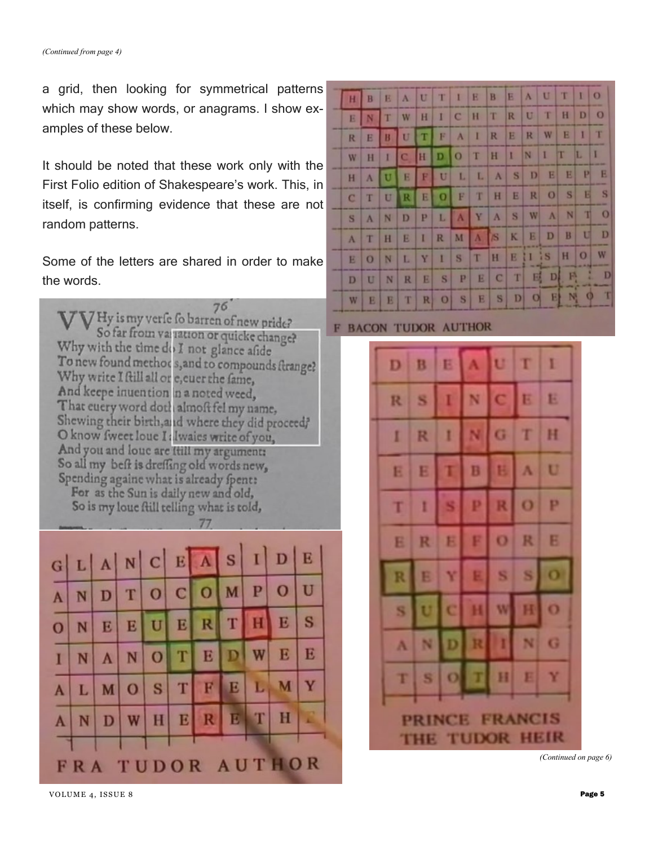a grid, then looking for symmetrical patterns which may show words, or anagrams. I show examples of these below.

It should be noted that these work only with the First Folio edition of Shakespeare's work. This, in itself, is confirming evidence that these are not random patterns.

Some of the letters are shared in order to make the words.





| H           | B         | E | $\Lambda$   | U            | T            | $\mathbf{I}$    | E   | B           | E        | A            | U         | T            | 10             |               |
|-------------|-----------|---|-------------|--------------|--------------|-----------------|-----|-------------|----------|--------------|-----------|--------------|----------------|---------------|
| E           | N         | т | W           | H            | $\mathbf{I}$ | $\vert C \vert$ | H   | T           | R        | U            | T         | H            | D <sub>1</sub> | $\circ$       |
| R           | E         | B | U           | п            | F            | $\Lambda$       | I   | R           | E        | R            | W         | E            | ı              | T             |
| W           | H         | 1 | $\mathbf C$ | H            | D            | $\overline{O}$  | T   | H           | $\Gamma$ | $\mathbb{N}$ | D         | $\mathbb{T}$ | L              | П             |
| H           | A         | U | E           | E            | U            | L               | L   | $\Lambda$   | S        | D            | E         | E            | P              | E             |
| $\mathbf C$ | T         | U | R           | E            | $\Omega$     | F               | T   | H           | E        | R            | $\Omega$  | S            | <b>E</b>       | S             |
| S           | $\Lambda$ | N | D           | $\mathbf{P}$ | L            | $\Lambda$       | Y   | $\Lambda$   | S        | W            | $\Lambda$ | N            | $\mathbb{I}$   | $\Omega$      |
| $\Lambda$   | T         | H | E           | I            | R            |                 | M A | $\sqrt{S}$  | K        | E            | D         | B            | U              | D             |
| E           | $\Omega$  | N | L           | Y            | $\mathbf{I}$ | S               | T   | H           |          | EIIIS        |           | H            | $\overline{O}$ | W             |
| D           | U         | N | R           | E            | S            | P               | E   | $\mathbf C$ | T        |              | EDE       |              |                | D<br>a.       |
| W           | E         | E | T           | R            | $\circ$      | S               | E   | S           |          |              |           |              |                | $D$ O E N O T |

#### F **BACON TUDOR AUTHOR**



*(Continued on page 6)*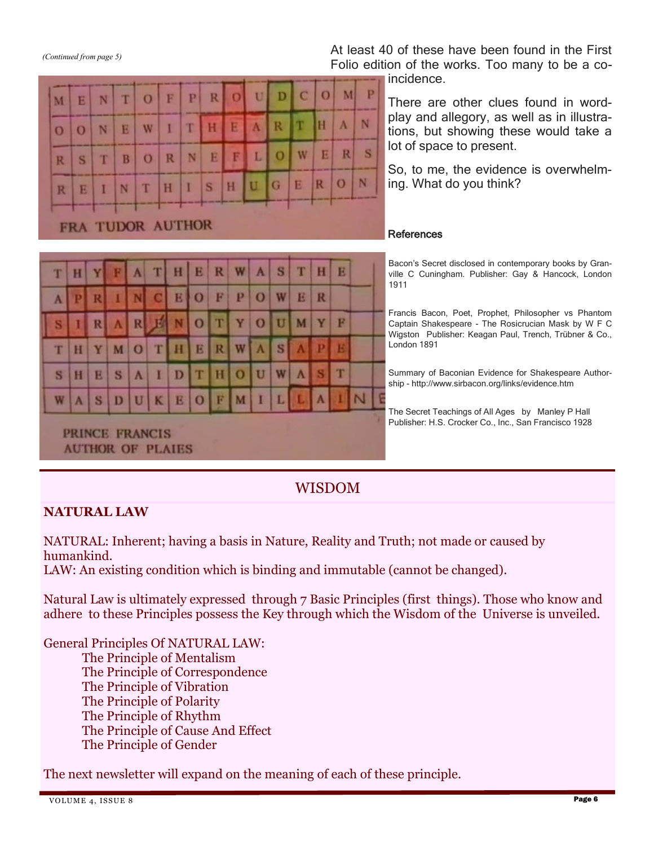*(Continued from page 5)*

Б

 $\overline{O}$ 

S

M

 $\overline{O}$ 

R

N

N

Τ

T

E

B

At least 40 of these have been found in the First Folio edition of the works. Too many to be a co-

incidence.

P м

N

s

N

R

 $\Omega$ 

D

R

O

L

 $\mathbf C$ 

π

W

 $\Omega$ 

H  $\Lambda$ 

E

There are other clues found in wordplay and allegory, as well as in illustrations, but showing these would take a lot of space to present.

So, to me, the evidence is overwhelming. What do you think?

#### **References**

Bacon's Secret disclosed in contemporary books by Granville C Cuningham. Publisher: Gay & Hancock, London 1911

Francis Bacon, Poet, Prophet, Philosopher vs Phantom Captain Shakespeare - The Rosicrucian Mask by W F C Wigston Publisher: Keagan Paul, Trench, Trübner & Co., London 1891

Summary of Baconian Evidence for Shakespeare Authorship - http://www.sirbacon.org/links/evidence.htm

The Secret Teachings of All Ages by Manley P Hall Publisher: H.S. Crocker Co., Inc., San Francisco 1928

PRINCE FRANCIS **AUTHOR OF PLAIES** 

#### WISDOM

#### **NATURAL LAW**

NATURAL: Inherent; having a basis in Nature, Reality and Truth; not made or caused by humankind.

LAW: An existing condition which is binding and immutable (cannot be changed).

Natural Law is ultimately expressed through 7 Basic Principles (first things). Those who know and adhere to these Principles possess the Key through which the Wisdom of the Universe is unveiled.

General Principles Of NATURAL LAW: The Principle of Mentalism The Principle of Correspondence The Principle of Vibration The Principle of Polarity The Principle of Rhythm The Principle of Cause And Effect The Principle of Gender

The next newsletter will expand on the meaning of each of these principle.

| --             |             |          |   |           |              | <b>FRA TUDOR AUTHOR</b> |              |   |                             |     |       |           |                          |   |  |
|----------------|-------------|----------|---|-----------|--------------|-------------------------|--------------|---|-----------------------------|-----|-------|-----------|--------------------------|---|--|
|                |             |          |   |           |              |                         |              |   |                             |     |       |           |                          |   |  |
| T              | H           |          | F | $\Lambda$ | T            |                         |              |   | $H$ $B$ $R$ $W$ $A$ $S$ $T$ |     |       |           | H                        | E |  |
|                |             | <b>R</b> |   |           | INC          | E                       | $\mathbf{O}$ | F | P                           |     | $O$ W | E         | R                        |   |  |
| S <sub>1</sub> | $\bigoplus$ | R        |   |           | A R 耳        | N                       | $\mathbf{o}$ | T | YO                          |     | U     | M         | Y                        | F |  |
| T              | H           | Y        |   | $M$ O     |              | TH                      | E            | R |                             | WAS |       |           | A P E                    |   |  |
| S              | H           | E        | S | $\Lambda$ | $\mathbb{R}$ | D                       | T            | H | $\overline{O}$              | U   | W     | $\Lambda$ | $ \mathbf{S} \mathbf{T}$ |   |  |
| W              | A           | S.       | D | U         | K            | E                       | $\circ$      | F | M                           | п   | L     |           | $\Lambda$                |   |  |

F

I т

R

 $\Omega$ 

W

 $\overline{O}$ 

P

N

R

H

E